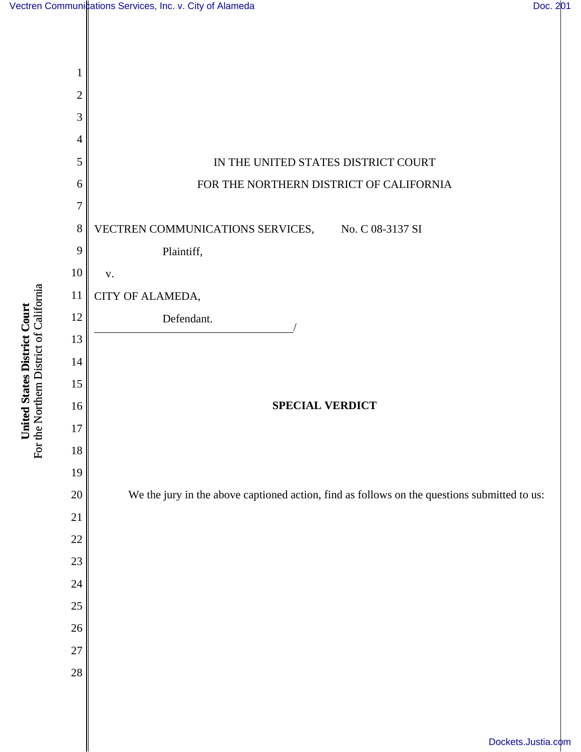

For the Northern District of California For the Northern District of California United States District Court **United States District Court**

[Dockets.Justia.com](http://dockets.justia.com/)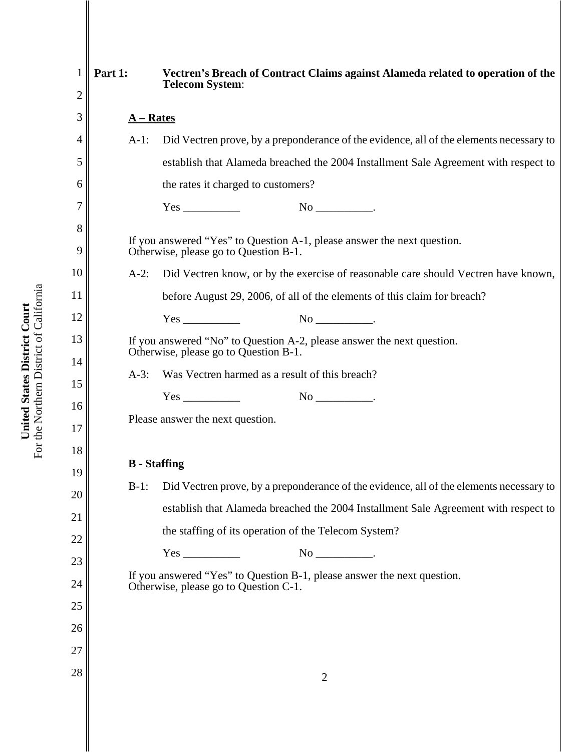| $\mathbf 1$<br>$\overline{2}$ | Part $1$ :                                                             | Vectren's Breach of Contract Claims against Alameda related to operation of the<br><b>Telecom System:</b>        |
|-------------------------------|------------------------------------------------------------------------|------------------------------------------------------------------------------------------------------------------|
| 3                             | $A - Rates$                                                            |                                                                                                                  |
| 4                             | $A-1$ :                                                                | Did Vectren prove, by a preponderance of the evidence, all of the elements necessary to                          |
| 5                             |                                                                        | establish that Alameda breached the 2004 Installment Sale Agreement with respect to                              |
| 6                             |                                                                        | the rates it charged to customers?                                                                               |
| 7                             |                                                                        |                                                                                                                  |
| 8                             |                                                                        |                                                                                                                  |
| 9                             |                                                                        | If you answered "Yes" to Question A-1, please answer the next question.<br>Otherwise, please go to Question B-1. |
| 10                            | $A-2$ :                                                                | Did Vectren know, or by the exercise of reasonable care should Vectren have known,                               |
| 11                            |                                                                        | before August 29, 2006, of all of the elements of this claim for breach?                                         |
| 12                            |                                                                        | $No$ ________________.                                                                                           |
| 13                            | If you answered "No" to Question A-2, please answer the next question. |                                                                                                                  |
| 14                            |                                                                        | Otherwise, please go to Question B-1.                                                                            |
| 15                            | $A-3$ :                                                                | Was Vectren harmed as a result of this breach?                                                                   |
| 16                            |                                                                        | $No$ _______________.                                                                                            |
| 17                            |                                                                        | Please answer the next question.                                                                                 |
| 18                            |                                                                        |                                                                                                                  |
| 19                            | <b>B</b> - Staffing                                                    |                                                                                                                  |
| 20                            | $B-1$ :                                                                | Did Vectren prove, by a preponderance of the evidence, all of the elements necessary to                          |
| 21                            |                                                                        | establish that Alameda breached the 2004 Installment Sale Agreement with respect to                              |
| 22                            |                                                                        | the staffing of its operation of the Telecom System?                                                             |
| 23                            |                                                                        |                                                                                                                  |
| 24                            |                                                                        | If you answered "Yes" to Question B-1, please answer the next question.<br>Otherwise, please go to Question C-1. |
| 25                            |                                                                        |                                                                                                                  |
| 26                            |                                                                        |                                                                                                                  |
| 27                            |                                                                        |                                                                                                                  |
| 28                            |                                                                        | $\overline{2}$                                                                                                   |
|                               |                                                                        |                                                                                                                  |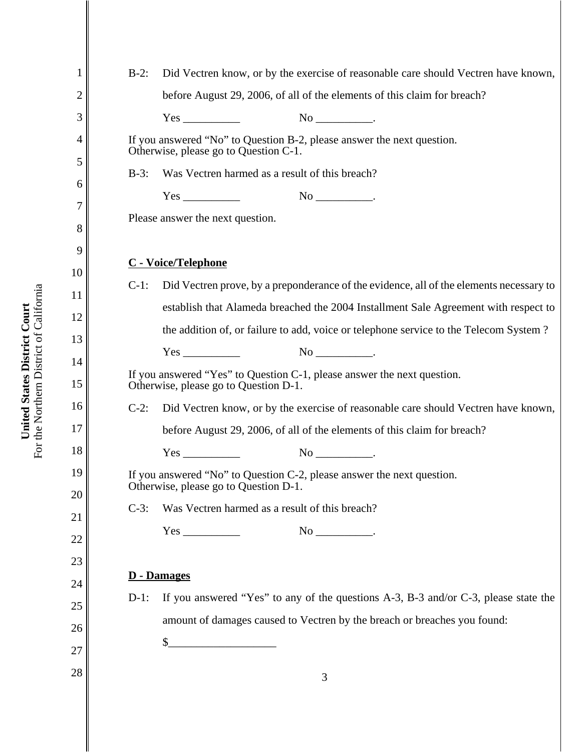| 1              | Did Vectren know, or by the exercise of reasonable care should Vectren have known,<br>$B-2$ :                    |
|----------------|------------------------------------------------------------------------------------------------------------------|
| $\overline{2}$ | before August 29, 2006, of all of the elements of this claim for breach?                                         |
| 3              |                                                                                                                  |
| 4              | If you answered "No" to Question B-2, please answer the next question.<br>Otherwise, please go to Question C-1.  |
| 5              | Was Vectren harmed as a result of this breach?<br>$B-3$ :                                                        |
| 6              |                                                                                                                  |
| 7<br>8         | Please answer the next question.                                                                                 |
| 9              | C - Voice/Telephone                                                                                              |
| 10             | Did Vectren prove, by a preponderance of the evidence, all of the elements necessary to<br>$C-1$ :               |
| 11             | establish that Alameda breached the 2004 Installment Sale Agreement with respect to                              |
| 12             | the addition of, or failure to add, voice or telephone service to the Telecom System?                            |
| 13<br>14       |                                                                                                                  |
| 15             | If you answered "Yes" to Question C-1, please answer the next question.<br>Otherwise, please go to Question D-1. |
| 16             | Did Vectren know, or by the exercise of reasonable care should Vectren have known,<br>$C-2$ :                    |
| 17             | before August 29, 2006, of all of the elements of this claim for breach?                                         |
| 18             | $Yes \_$                                                                                                         |
| 19             | If you answered "No" to Question C-2, please answer the next question.<br>Otherwise, please go to Question D-1.  |
| 20             | $C-3$ :<br>Was Vectren harmed as a result of this breach?                                                        |
| 21             | $\text{No}$ _____________.                                                                                       |
| 22<br>23       |                                                                                                                  |
| 24             | <b>D</b> - Damages                                                                                               |
| 25             | If you answered "Yes" to any of the questions A-3, B-3 and/or C-3, please state the<br>$D-1$ :                   |
| 26             | amount of damages caused to Vectren by the breach or breaches you found:                                         |
| 27             | $\mathcal{S}_{-}$                                                                                                |
| 28             | 3                                                                                                                |
|                |                                                                                                                  |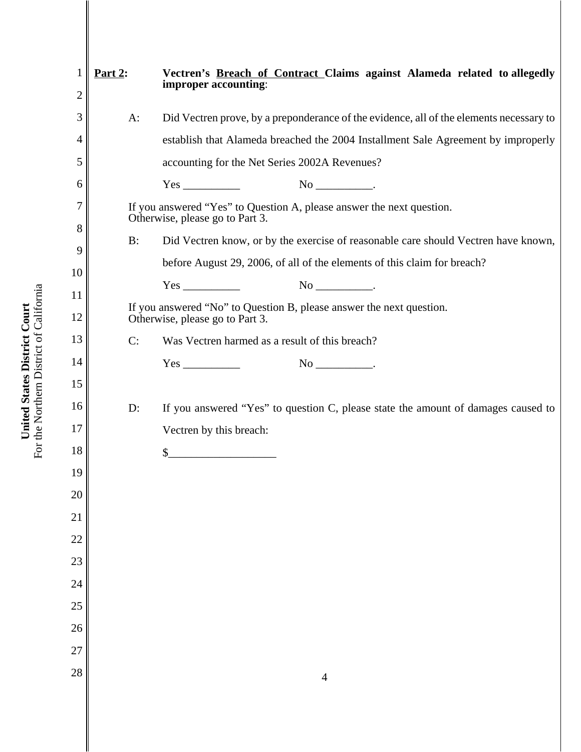| 1              | Part $2$ : | Vectren's Breach of Contract Claims against Alameda related to allegedly<br>improper accounting:        |
|----------------|------------|---------------------------------------------------------------------------------------------------------|
| $\overline{2}$ |            |                                                                                                         |
| 3              | $A$ :      | Did Vectren prove, by a preponderance of the evidence, all of the elements necessary to                 |
| 4              |            | establish that Alameda breached the 2004 Installment Sale Agreement by improperly                       |
| 5              |            | accounting for the Net Series 2002A Revenues?                                                           |
| 6              |            |                                                                                                         |
| 7              |            | If you answered "Yes" to Question A, please answer the next question.                                   |
| 8              |            | Otherwise, please go to Part 3.                                                                         |
| 9              | B:         | Did Vectren know, or by the exercise of reasonable care should Vectren have known,                      |
| 10             |            | before August 29, 2006, of all of the elements of this claim for breach?                                |
| 11             |            |                                                                                                         |
| 12             |            | If you answered "No" to Question B, please answer the next question.<br>Otherwise, please go to Part 3. |
| 13             | C:         | Was Vectren harmed as a result of this breach?                                                          |
| 14             |            |                                                                                                         |
| 15             |            |                                                                                                         |
| 16             | $D$ :      | If you answered "Yes" to question C, please state the amount of damages caused to                       |
| 17             |            | Vectren by this breach:                                                                                 |
| 18             |            | \$                                                                                                      |
| 19             |            |                                                                                                         |
| 20             |            |                                                                                                         |
| 21             |            |                                                                                                         |
| 22             |            |                                                                                                         |
| 23             |            |                                                                                                         |
| 24             |            |                                                                                                         |
| 25             |            |                                                                                                         |
| 26             |            |                                                                                                         |
| 27             |            |                                                                                                         |
| 28             |            | $\overline{4}$                                                                                          |
|                |            |                                                                                                         |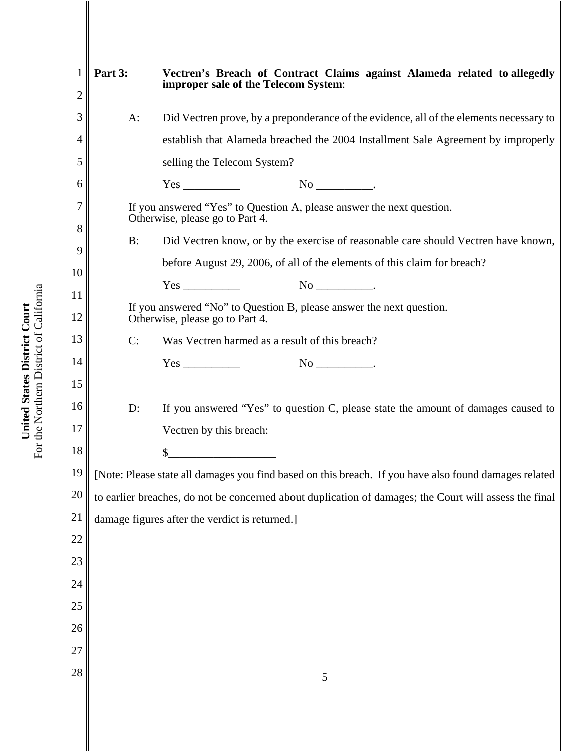|        | <b>Part 3:</b>                                                                                          | Vectren's Breach of Contract Claims against Alameda related to allegedly                                 |
|--------|---------------------------------------------------------------------------------------------------------|----------------------------------------------------------------------------------------------------------|
| 2      |                                                                                                         | improper sale of the Telecom System:                                                                     |
| 3      | $A$ :                                                                                                   | Did Vectren prove, by a preponderance of the evidence, all of the elements necessary to                  |
| 4      |                                                                                                         | establish that Alameda breached the 2004 Installment Sale Agreement by improperly                        |
| 5      |                                                                                                         | selling the Telecom System?                                                                              |
| 6      |                                                                                                         |                                                                                                          |
| 7      |                                                                                                         | If you answered "Yes" to Question A, please answer the next question.<br>Otherwise, please go to Part 4. |
| 8<br>9 | B:                                                                                                      | Did Vectren know, or by the exercise of reasonable care should Vectren have known,                       |
| 10     |                                                                                                         | before August 29, 2006, of all of the elements of this claim for breach?                                 |
| 11     |                                                                                                         |                                                                                                          |
| 12     | If you answered "No" to Question B, please answer the next question.<br>Otherwise, please go to Part 4. |                                                                                                          |
| 13     | C:                                                                                                      | Was Vectren harmed as a result of this breach?                                                           |
| 14     |                                                                                                         |                                                                                                          |
| 15     |                                                                                                         |                                                                                                          |
| 16     | $D$ :                                                                                                   | If you answered "Yes" to question C, please state the amount of damages caused to                        |
| 17     |                                                                                                         | Vectren by this breach:                                                                                  |
| 18     |                                                                                                         | $\quad \  \  \, {\sf S} \underline{\hspace{1.5cm}} \qquad \qquad \  \  \, \underline{\hspace{1.5cm}}$    |
| 19     |                                                                                                         | [Note: Please state all damages you find based on this breach. If you have also found damages related    |
| 20     |                                                                                                         | to earlier breaches, do not be concerned about duplication of damages; the Court will assess the final   |
| 21     |                                                                                                         | damage figures after the verdict is returned.]                                                           |
| 22     |                                                                                                         |                                                                                                          |
| 23     |                                                                                                         |                                                                                                          |
| 24     |                                                                                                         |                                                                                                          |
| 25     |                                                                                                         |                                                                                                          |
| 26     |                                                                                                         |                                                                                                          |
| 27     |                                                                                                         |                                                                                                          |
| 28     |                                                                                                         | 5                                                                                                        |